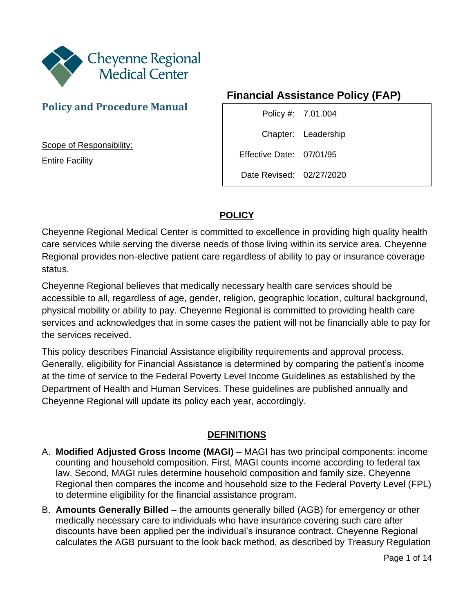

## **Policy and Procedure Manual**

Scope of Responsibility:

Entire Facility

# **Financial Assistance Policy (FAP)**

Policy #: 7.01.004 Chapter: Leadership Effective Date: 07/01/95 Date Revised: 02/27/2020

### **POLICY**

Cheyenne Regional Medical Center is committed to excellence in providing high quality health care services while serving the diverse needs of those living within its service area. Cheyenne Regional provides non-elective patient care regardless of ability to pay or insurance coverage status.

Cheyenne Regional believes that medically necessary health care services should be accessible to all, regardless of age, gender, religion, geographic location, cultural background, physical mobility or ability to pay. Cheyenne Regional is committed to providing health care services and acknowledges that in some cases the patient will not be financially able to pay for the services received.

This policy describes Financial Assistance eligibility requirements and approval process. Generally, eligibility for Financial Assistance is determined by comparing the patient's income at the time of service to the Federal Poverty Level Income Guidelines as established by the Department of Health and Human Services. These guidelines are published annually and Cheyenne Regional will update its policy each year, accordingly.

### **DEFINITIONS**

- A. **Modified Adjusted Gross Income (MAGI)**  MAGI has two principal components: income counting and household composition. First, MAGI counts income according to federal tax law. Second, MAGI rules determine household composition and family size. Cheyenne Regional then compares the income and household size to the Federal Poverty Level (FPL) to determine eligibility for the financial assistance program.
- B. **Amounts Generally Billed**  the amounts generally billed (AGB) for emergency or other medically necessary care to individuals who have insurance covering such care after discounts have been applied per the individual's insurance contract. Cheyenne Regional calculates the AGB pursuant to the look back method, as described by Treasury Regulation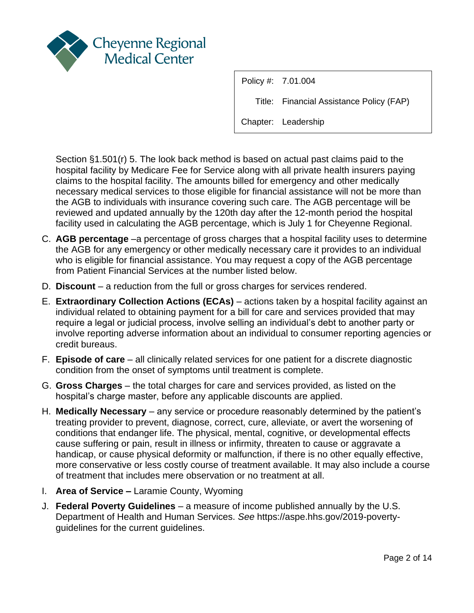

Policy #: 7.01.004 Title: Financial Assistance Policy (FAP) Chapter: Leadership

Section §1.501(r) 5. The look back method is based on actual past claims paid to the hospital facility by Medicare Fee for Service along with all private health insurers paying claims to the hospital facility. The amounts billed for emergency and other medically necessary medical services to those eligible for financial assistance will not be more than the AGB to individuals with insurance covering such care. The AGB percentage will be reviewed and updated annually by the 120th day after the 12-month period the hospital facility used in calculating the AGB percentage, which is July 1 for Cheyenne Regional.

- C. **AGB percentage** –a percentage of gross charges that a hospital facility uses to determine the AGB for any emergency or other medically necessary care it provides to an individual who is eligible for financial assistance. You may request a copy of the AGB percentage from Patient Financial Services at the number listed below.
- D. **Discount**  a reduction from the full or gross charges for services rendered.
- E. **Extraordinary Collection Actions (ECAs)**  actions taken by a hospital facility against an individual related to obtaining payment for a bill for care and services provided that may require a legal or judicial process, involve selling an individual's debt to another party or involve reporting adverse information about an individual to consumer reporting agencies or credit bureaus.
- F. **Episode of care** all clinically related services for one patient for a discrete diagnostic condition from the onset of symptoms until treatment is complete.
- G. **Gross Charges**  the total charges for care and services provided, as listed on the hospital's charge master, before any applicable discounts are applied.
- H. **Medically Necessary** any service or procedure reasonably determined by the patient's treating provider to prevent, diagnose, correct, cure, alleviate, or avert the worsening of conditions that endanger life. The physical, mental, cognitive, or developmental effects cause suffering or pain, result in illness or infirmity, threaten to cause or aggravate a handicap, or cause physical deformity or malfunction, if there is no other equally effective, more conservative or less costly course of treatment available. It may also include a course of treatment that includes mere observation or no treatment at all.
- I. **Area of Service –** Laramie County, Wyoming
- J. **Federal Poverty Guidelines**  a measure of income published annually by the U.S. Department of Health and Human Services. *See* https://aspe.hhs.gov/2019-povertyguidelines for the current guidelines.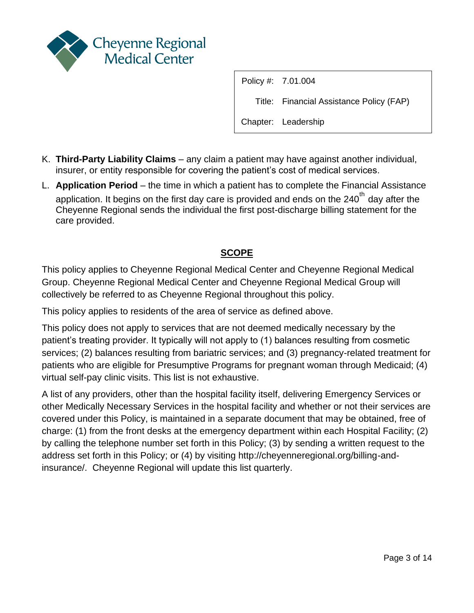

Title: Financial Assistance Policy (FAP)

Chapter: Leadership

- K. **Third-Party Liability Claims**  any claim a patient may have against another individual, insurer, or entity responsible for covering the patient's cost of medical services.
- L. **Application Period**  the time in which a patient has to complete the Financial Assistance application. It begins on the first day care is provided and ends on the  $240<sup>th</sup>$  day after the Cheyenne Regional sends the individual the first post-discharge billing statement for the care provided.

### **SCOPE**

This policy applies to Cheyenne Regional Medical Center and Cheyenne Regional Medical Group. Cheyenne Regional Medical Center and Cheyenne Regional Medical Group will collectively be referred to as Cheyenne Regional throughout this policy.

This policy applies to residents of the area of service as defined above.

This policy does not apply to services that are not deemed medically necessary by the patient's treating provider. It typically will not apply to (1) balances resulting from cosmetic services; (2) balances resulting from bariatric services; and (3) pregnancy-related treatment for patients who are eligible for Presumptive Programs for pregnant woman through Medicaid; (4) virtual self-pay clinic visits. This list is not exhaustive.

A list of any providers, other than the hospital facility itself, delivering Emergency Services or other Medically Necessary Services in the hospital facility and whether or not their services are covered under this Policy, is maintained in a separate document that may be obtained, free of charge: (1) from the front desks at the emergency department within each Hospital Facility; (2) by calling the telephone number set forth in this Policy; (3) by sending a written request to the address set forth in this Policy; or (4) by visiting http://cheyenneregional.org/billing-andinsurance/. Cheyenne Regional will update this list quarterly.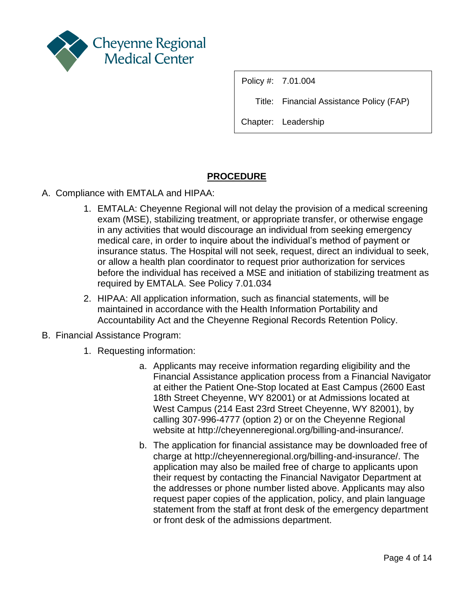

Title: Financial Assistance Policy (FAP)

Chapter: Leadership

### **PROCEDURE**

- A. Compliance with EMTALA and HIPAA:
	- 1. EMTALA: Cheyenne Regional will not delay the provision of a medical screening exam (MSE), stabilizing treatment, or appropriate transfer, or otherwise engage in any activities that would discourage an individual from seeking emergency medical care, in order to inquire about the individual's method of payment or insurance status. The Hospital will not seek, request, direct an individual to seek, or allow a health plan coordinator to request prior authorization for services before the individual has received a MSE and initiation of stabilizing treatment as required by EMTALA. See Policy 7.01.034
	- 2. HIPAA: All application information, such as financial statements, will be maintained in accordance with the Health Information Portability and Accountability Act and the Cheyenne Regional Records Retention Policy.
- B. Financial Assistance Program:
	- 1. Requesting information:
		- a. Applicants may receive information regarding eligibility and the Financial Assistance application process from a Financial Navigator at either the Patient One-Stop located at East Campus (2600 East 18th Street Cheyenne, WY 82001) or at Admissions located at West Campus (214 East 23rd Street Cheyenne, WY 82001), by calling 307-996-4777 (option 2) or on the Cheyenne Regional website at http://cheyenneregional.org/billing-and-insurance/.
		- b. The application for financial assistance may be downloaded free of charge at http://cheyenneregional.org/billing-and-insurance/. The application may also be mailed free of charge to applicants upon their request by contacting the Financial Navigator Department at the addresses or phone number listed above. Applicants may also request paper copies of the application, policy, and plain language statement from the staff at front desk of the emergency department or front desk of the admissions department.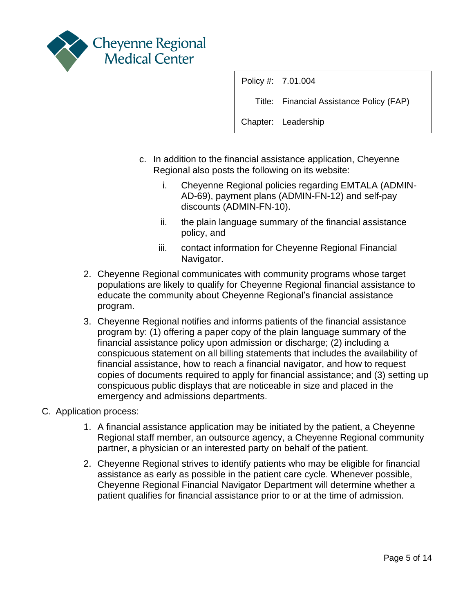

Title: Financial Assistance Policy (FAP)

- c. In addition to the financial assistance application, Cheyenne Regional also posts the following on its website:
	- i. Cheyenne Regional policies regarding EMTALA (ADMIN-AD-69), payment plans (ADMIN-FN-12) and self-pay discounts (ADMIN-FN-10).
	- ii. the plain language summary of the financial assistance policy, and
	- iii. contact information for Cheyenne Regional Financial Navigator.
- 2. Cheyenne Regional communicates with community programs whose target populations are likely to qualify for Cheyenne Regional financial assistance to educate the community about Cheyenne Regional's financial assistance program.
- 3. Cheyenne Regional notifies and informs patients of the financial assistance program by: (1) offering a paper copy of the plain language summary of the financial assistance policy upon admission or discharge; (2) including a conspicuous statement on all billing statements that includes the availability of financial assistance, how to reach a financial navigator, and how to request copies of documents required to apply for financial assistance; and (3) setting up conspicuous public displays that are noticeable in size and placed in the emergency and admissions departments.
- C. Application process:
	- 1. A financial assistance application may be initiated by the patient, a Cheyenne Regional staff member, an outsource agency, a Cheyenne Regional community partner, a physician or an interested party on behalf of the patient.
	- 2. Cheyenne Regional strives to identify patients who may be eligible for financial assistance as early as possible in the patient care cycle. Whenever possible, Cheyenne Regional Financial Navigator Department will determine whether a patient qualifies for financial assistance prior to or at the time of admission.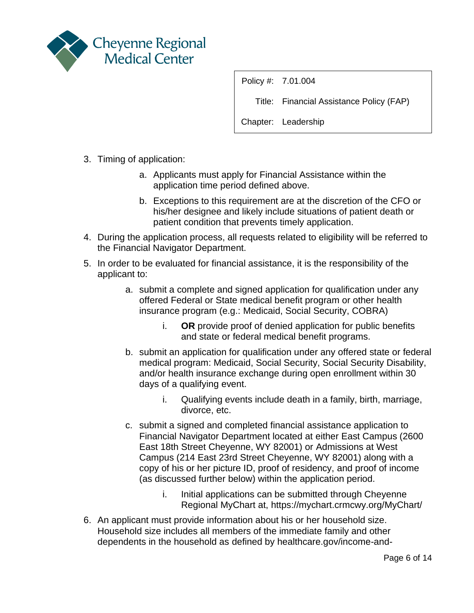

Title: Financial Assistance Policy (FAP)

- 3. Timing of application:
	- a. Applicants must apply for Financial Assistance within the application time period defined above.
	- b. Exceptions to this requirement are at the discretion of the CFO or his/her designee and likely include situations of patient death or patient condition that prevents timely application.
- 4. During the application process, all requests related to eligibility will be referred to the Financial Navigator Department.
- 5. In order to be evaluated for financial assistance, it is the responsibility of the applicant to:
	- a. submit a complete and signed application for qualification under any offered Federal or State medical benefit program or other health insurance program (e.g.: Medicaid, Social Security, COBRA)
		- i. **OR** provide proof of denied application for public benefits and state or federal medical benefit programs.
	- b. submit an application for qualification under any offered state or federal medical program: Medicaid, Social Security, Social Security Disability, and/or health insurance exchange during open enrollment within 30 days of a qualifying event.
		- i. Qualifying events include death in a family, birth, marriage, divorce, etc.
	- c. submit a signed and completed financial assistance application to Financial Navigator Department located at either East Campus (2600 East 18th Street Cheyenne, WY 82001) or Admissions at West Campus (214 East 23rd Street Cheyenne, WY 82001) along with a copy of his or her picture ID, proof of residency, and proof of income (as discussed further below) within the application period.
		- i. Initial applications can be submitted through Cheyenne Regional MyChart at, https://mychart.crmcwy.org/MyChart/
- 6. An applicant must provide information about his or her household size. Household size includes all members of the immediate family and other dependents in the household as defined by healthcare.gov/income-and-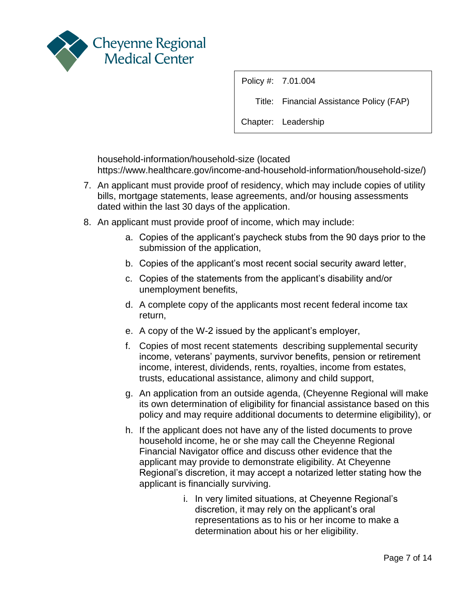

Title: Financial Assistance Policy (FAP)

Chapter: Leadership

household-information/household-size (located https://www.healthcare.gov/income-and-household-information/household-size/)

- 7. An applicant must provide proof of residency, which may include copies of utility bills, mortgage statements, lease agreements, and/or housing assessments dated within the last 30 days of the application.
- 8. An applicant must provide proof of income, which may include:
	- a. Copies of the applicant's paycheck stubs from the 90 days prior to the submission of the application,
	- b. Copies of the applicant's most recent social security award letter,
	- c. Copies of the statements from the applicant's disability and/or unemployment benefits,
	- d. A complete copy of the applicants most recent federal income tax return,
	- e. A copy of the W-2 issued by the applicant's employer,
	- f. Copies of most recent statements describing supplemental security income, veterans' payments, survivor benefits, pension or retirement income, interest, dividends, rents, royalties, income from estates, trusts, educational assistance, alimony and child support,
	- g. An application from an outside agenda, (Cheyenne Regional will make its own determination of eligibility for financial assistance based on this policy and may require additional documents to determine eligibility), or
	- h. If the applicant does not have any of the listed documents to prove household income, he or she may call the Cheyenne Regional Financial Navigator office and discuss other evidence that the applicant may provide to demonstrate eligibility. At Cheyenne Regional's discretion, it may accept a notarized letter stating how the applicant is financially surviving.
		- i. In very limited situations, at Cheyenne Regional's discretion, it may rely on the applicant's oral representations as to his or her income to make a determination about his or her eligibility.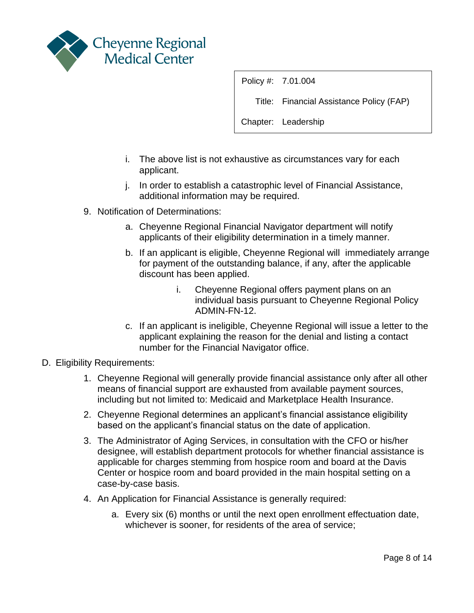

Title: Financial Assistance Policy (FAP)

- i. The above list is not exhaustive as circumstances vary for each applicant.
- j. In order to establish a catastrophic level of Financial Assistance, additional information may be required.
- 9. Notification of Determinations:
	- a. Cheyenne Regional Financial Navigator department will notify applicants of their eligibility determination in a timely manner.
	- b. If an applicant is eligible, Cheyenne Regional will immediately arrange for payment of the outstanding balance, if any, after the applicable discount has been applied.
		- i. Cheyenne Regional offers payment plans on an individual basis pursuant to Cheyenne Regional Policy ADMIN-FN-12.
	- c. If an applicant is ineligible, Cheyenne Regional will issue a letter to the applicant explaining the reason for the denial and listing a contact number for the Financial Navigator office.
- D. Eligibility Requirements:
	- 1. Cheyenne Regional will generally provide financial assistance only after all other means of financial support are exhausted from available payment sources, including but not limited to: Medicaid and Marketplace Health Insurance.
	- 2. Cheyenne Regional determines an applicant's financial assistance eligibility based on the applicant's financial status on the date of application.
	- 3. The Administrator of Aging Services, in consultation with the CFO or his/her designee, will establish department protocols for whether financial assistance is applicable for charges stemming from hospice room and board at the Davis Center or hospice room and board provided in the main hospital setting on a case-by-case basis.
	- 4. An Application for Financial Assistance is generally required:
		- a. Every six (6) months or until the next open enrollment effectuation date, whichever is sooner, for residents of the area of service;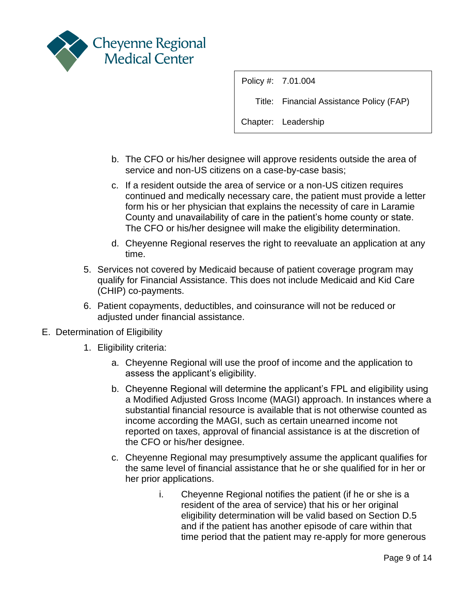

Title: Financial Assistance Policy (FAP)

- b. The CFO or his/her designee will approve residents outside the area of service and non-US citizens on a case-by-case basis;
- c. If a resident outside the area of service or a non-US citizen requires continued and medically necessary care, the patient must provide a letter form his or her physician that explains the necessity of care in Laramie County and unavailability of care in the patient's home county or state. The CFO or his/her designee will make the eligibility determination.
- d. Cheyenne Regional reserves the right to reevaluate an application at any time.
- 5. Services not covered by Medicaid because of patient coverage program may qualify for Financial Assistance. This does not include Medicaid and Kid Care (CHIP) co-payments.
- 6. Patient copayments, deductibles, and coinsurance will not be reduced or adiusted under financial assistance.
- E. Determination of Eligibility
	- 1. Eligibility criteria:
		- a. Cheyenne Regional will use the proof of income and the application to assess the applicant's eligibility.
		- b. Cheyenne Regional will determine the applicant's FPL and eligibility using a Modified Adjusted Gross Income (MAGI) approach. In instances where a substantial financial resource is available that is not otherwise counted as income according the MAGI, such as certain unearned income not reported on taxes, approval of financial assistance is at the discretion of the CFO or his/her designee.
		- c. Cheyenne Regional may presumptively assume the applicant qualifies for the same level of financial assistance that he or she qualified for in her or her prior applications.
			- i. Cheyenne Regional notifies the patient (if he or she is a resident of the area of service) that his or her original eligibility determination will be valid based on Section D.5 and if the patient has another episode of care within that time period that the patient may re-apply for more generous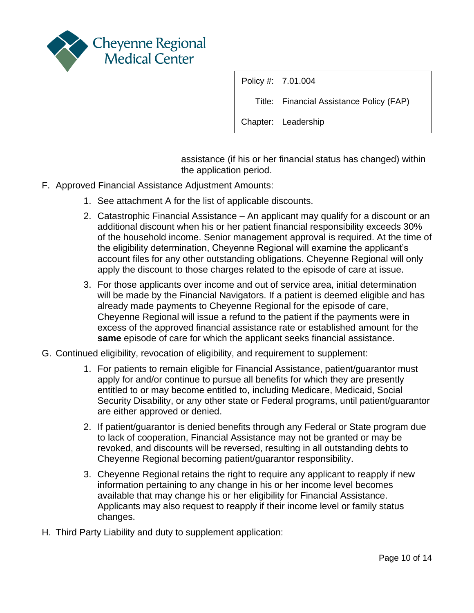

Title: Financial Assistance Policy (FAP)

Chapter: Leadership

assistance (if his or her financial status has changed) within the application period.

- F. Approved Financial Assistance Adjustment Amounts:
	- 1. See attachment A for the list of applicable discounts.
	- 2. Catastrophic Financial Assistance An applicant may qualify for a discount or an additional discount when his or her patient financial responsibility exceeds 30% of the household income. Senior management approval is required. At the time of the eligibility determination, Cheyenne Regional will examine the applicant's account files for any other outstanding obligations. Cheyenne Regional will only apply the discount to those charges related to the episode of care at issue.
	- 3. For those applicants over income and out of service area, initial determination will be made by the Financial Navigators. If a patient is deemed eligible and has already made payments to Cheyenne Regional for the episode of care, Cheyenne Regional will issue a refund to the patient if the payments were in excess of the approved financial assistance rate or established amount for the **same** episode of care for which the applicant seeks financial assistance.
- G. Continued eligibility, revocation of eligibility, and requirement to supplement:
	- 1. For patients to remain eligible for Financial Assistance, patient/guarantor must apply for and/or continue to pursue all benefits for which they are presently entitled to or may become entitled to, including Medicare, Medicaid, Social Security Disability, or any other state or Federal programs, until patient/guarantor are either approved or denied.
	- 2. If patient/guarantor is denied benefits through any Federal or State program due to lack of cooperation, Financial Assistance may not be granted or may be revoked, and discounts will be reversed, resulting in all outstanding debts to Cheyenne Regional becoming patient/guarantor responsibility.
	- 3. Cheyenne Regional retains the right to require any applicant to reapply if new information pertaining to any change in his or her income level becomes available that may change his or her eligibility for Financial Assistance. Applicants may also request to reapply if their income level or family status changes.
- H. Third Party Liability and duty to supplement application: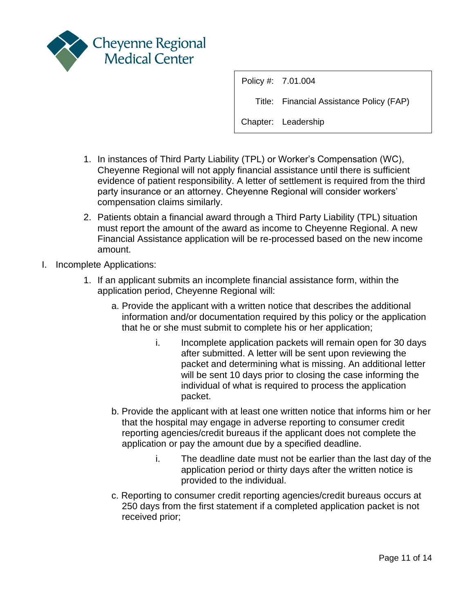

Title: Financial Assistance Policy (FAP)

- 1. In instances of Third Party Liability (TPL) or Worker's Compensation (WC), Cheyenne Regional will not apply financial assistance until there is sufficient evidence of patient responsibility. A letter of settlement is required from the third party insurance or an attorney. Cheyenne Regional will consider workers' compensation claims similarly.
- 2. Patients obtain a financial award through a Third Party Liability (TPL) situation must report the amount of the award as income to Cheyenne Regional. A new Financial Assistance application will be re-processed based on the new income amount.
- I. Incomplete Applications:
	- 1. If an applicant submits an incomplete financial assistance form, within the application period, Cheyenne Regional will:
		- a. Provide the applicant with a written notice that describes the additional information and/or documentation required by this policy or the application that he or she must submit to complete his or her application;
			- i. Incomplete application packets will remain open for 30 days after submitted. A letter will be sent upon reviewing the packet and determining what is missing. An additional letter will be sent 10 days prior to closing the case informing the individual of what is required to process the application packet.
		- b. Provide the applicant with at least one written notice that informs him or her that the hospital may engage in adverse reporting to consumer credit reporting agencies/credit bureaus if the applicant does not complete the application or pay the amount due by a specified deadline.
			- i. The deadline date must not be earlier than the last day of the application period or thirty days after the written notice is provided to the individual.
		- c. Reporting to consumer credit reporting agencies/credit bureaus occurs at 250 days from the first statement if a completed application packet is not received prior;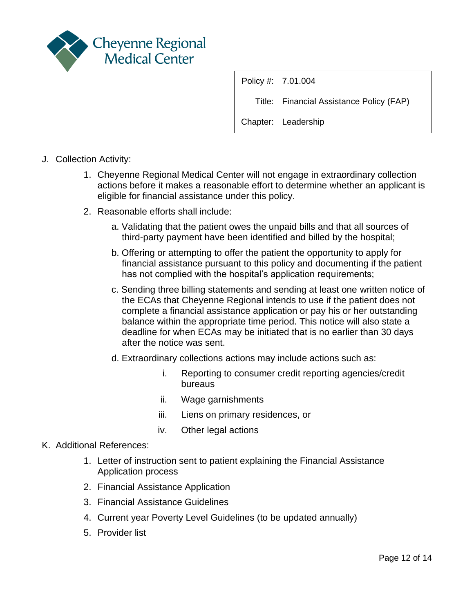

Title: Financial Assistance Policy (FAP)

Chapter: Leadership

- J. Collection Activity:
	- 1. Cheyenne Regional Medical Center will not engage in extraordinary collection actions before it makes a reasonable effort to determine whether an applicant is eligible for financial assistance under this policy.
	- 2. Reasonable efforts shall include:
		- a. Validating that the patient owes the unpaid bills and that all sources of third-party payment have been identified and billed by the hospital;
		- b. Offering or attempting to offer the patient the opportunity to apply for financial assistance pursuant to this policy and documenting if the patient has not complied with the hospital's application requirements;
		- c. Sending three billing statements and sending at least one written notice of the ECAs that Cheyenne Regional intends to use if the patient does not complete a financial assistance application or pay his or her outstanding balance within the appropriate time period. This notice will also state a deadline for when ECAs may be initiated that is no earlier than 30 days after the notice was sent.
		- d. Extraordinary collections actions may include actions such as:
			- i. Reporting to consumer credit reporting agencies/credit bureaus
			- ii. Wage garnishments
			- iii. Liens on primary residences, or
			- iv. Other legal actions

#### K. Additional References:

- 1. Letter of instruction sent to patient explaining the Financial Assistance Application process
- 2. Financial Assistance Application
- 3. Financial Assistance Guidelines
- 4. Current year Poverty Level Guidelines (to be updated annually)
- 5. Provider list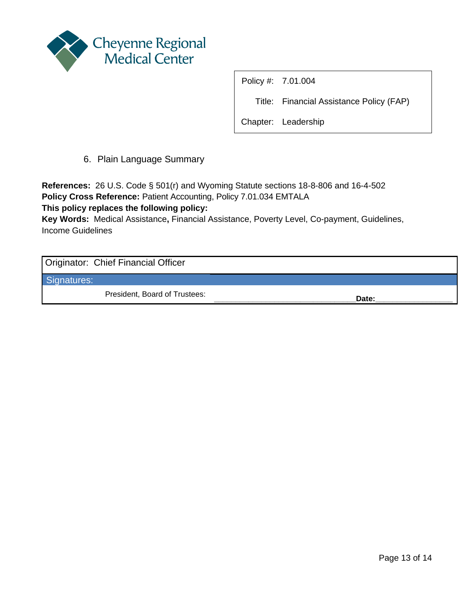

Title: Financial Assistance Policy (FAP)

Chapter: Leadership

6. Plain Language Summary

**References:** 26 U.S. Code § 501(r) and Wyoming Statute sections 18-8-806 and 16-4-502 **Policy Cross Reference:** Patient Accounting, Policy 7.01.034 EMTALA

**This policy replaces the following policy:** 

**Key Words:** Medical Assistance**,** Financial Assistance, Poverty Level, Co-payment, Guidelines, Income Guidelines

Originator: Chief Financial Officer

Signatures:

President, Board of Trustees: **Date: Date: Date: Date:**